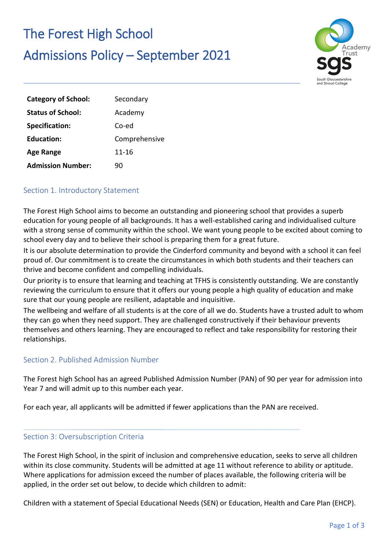# The Forest High School

## Admissions Policy – September 2021



| <b>Category of School:</b> | Secondary     |
|----------------------------|---------------|
| <b>Status of School:</b>   | Academy       |
| <b>Specification:</b>      | Co-ed         |
| <b>Education:</b>          | Comprehensive |
| <b>Age Range</b>           | $11 - 16$     |
| <b>Admission Number:</b>   | 90            |

### Section 1. Introductory Statement

The Forest High School aims to become an outstanding and pioneering school that provides a superb education for young people of all backgrounds. It has a well-established caring and individualised culture with a strong sense of community within the school. We want young people to be excited about coming to school every day and to believe their school is preparing them for a great future.

It is our absolute determination to provide the Cinderford community and beyond with a school it can feel proud of. Our commitment is to create the circumstances in which both students and their teachers can thrive and become confident and compelling individuals.

Our priority is to ensure that learning and teaching at TFHS is consistently outstanding. We are constantly reviewing the curriculum to ensure that it offers our young people a high quality of education and make sure that our young people are resilient, adaptable and inquisitive.

The wellbeing and welfare of all students is at the core of all we do. Students have a trusted adult to whom they can go when they need support. They are challenged constructively if their behaviour prevents themselves and others learning. They are encouraged to reflect and take responsibility for restoring their relationships.

### Section 2. Published Admission Number

The Forest high School has an agreed Published Admission Number (PAN) of 90 per year for admission into Year 7 and will admit up to this number each year.

For each year, all applicants will be admitted if fewer applications than the PAN are received.

### Section 3: Oversubscription Criteria

The Forest High School, in the spirit of inclusion and comprehensive education, seeks to serve all children within its close community. Students will be admitted at age 11 without reference to ability or aptitude. Where applications for admission exceed the number of places available, the following criteria will be applied, in the order set out below, to decide which children to admit:

Children with a statement of Special Educational Needs (SEN) or Education, Health and Care Plan (EHCP).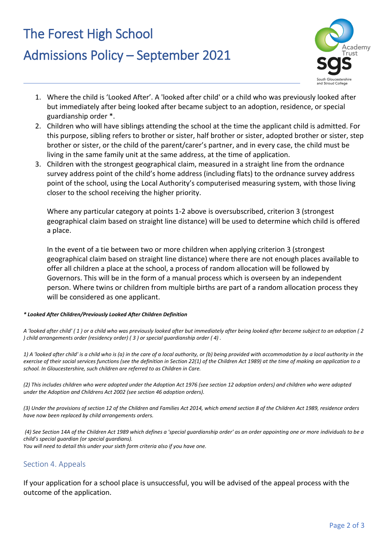## The Forest High School

# Admissions Policy – September 2021



- 1. Where the child is 'Looked After'. A 'looked after child' or a child who was previously looked after but immediately after being looked after became subject to an adoption, residence, or special guardianship order \*.
- 2. Children who will have siblings attending the school at the time the applicant child is admitted. For this purpose, sibling refers to brother or sister, half brother or sister, adopted brother or sister, step brother or sister, or the child of the parent/carer's partner, and in every case, the child must be living in the same family unit at the same address, at the time of application.
- 3. Children with the strongest geographical claim, measured in a straight line from the ordnance survey address point of the child's home address (including flats) to the ordnance survey address point of the school, using the Local Authority's computerised measuring system, with those living closer to the school receiving the higher priority.

Where any particular category at points 1-2 above is oversubscribed, criterion 3 (strongest geographical claim based on straight line distance) will be used to determine which child is offered a place.

In the event of a tie between two or more children when applying criterion 3 (strongest geographical claim based on straight line distance) where there are not enough places available to offer all children a place at the school, a process of random allocation will be followed by Governors. This will be in the form of a manual process which is overseen by an independent person. Where twins or children from multiple births are part of a random allocation process they will be considered as one applicant.

#### *\* Looked After Children/Previously Looked After Children Definition*

*A 'looked after child' ( 1 ) or a child who was previously looked after but immediately after being looked after became subject to an adoption ( 2 ) child arrangements order (residency order) ( 3 ) or special guardianship order ( 4) .* 

*1) A 'looked after child' is a child who is (a) in the care of a local authority, or (b) being provided with accommodation by a local authority in the exercise of their social services functions (see the definition in Section 22(1) of the Children Act 1989) at the time of making an application to a school. In Gloucestershire, such children are referred to as Children in Care.* 

*(2) This includes children who were adopted under the Adoption Act 1976 (see section 12 adoption orders) and children who were adopted under the Adoption and Childrens Act 2002 (see section 46 adoption orders).* 

*(3) Under the provisions of section 12 of the Children and Families Act 2014, which amend section 8 of the Children Act 1989, residence orders have now been replaced by child arrangements orders.* 

*(4) See Section 14A of the Children Act 1989 which defines a 'special guardianship order' as an order appointing one or more individuals to be a child's special guardian (or special guardians). You will need to detail this under your sixth form criteria also if you have one.* 

### Section 4. Appeals

If your application for a school place is unsuccessful, you will be advised of the appeal process with the outcome of the application.